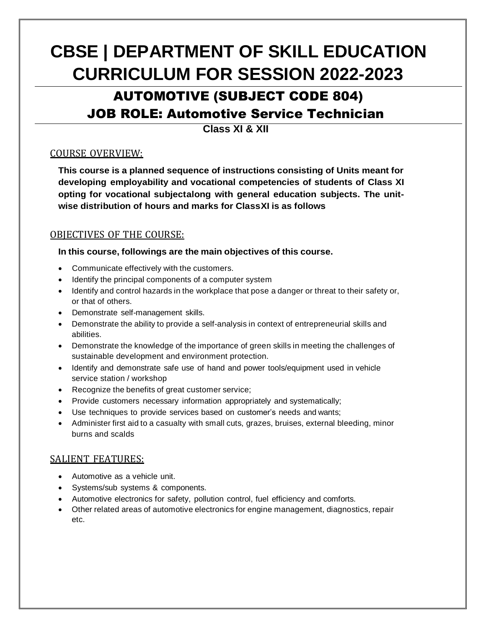# **CBSE | DEPARTMENT OF SKILL EDUCATION CURRICULUM FOR SESSION 2022-2023**

## AUTOMOTIVE (SUBJECT CODE 804) JOB ROLE: Automotive Service Technician

**Class XI & XII**

#### COURSE OVERVIEW:

**This course is a planned sequence of instructions consisting of Units meant for developing employability and vocational competencies of students of Class XI opting for vocational subjectalong with general education subjects. The unitwise distribution of hours and marks for ClassXI is as follows**

#### OBJECTIVES OF THE COURSE:

#### **In this course, followings are the main objectives of this course.**

- Communicate effectively with the customers.
- Identify the principal components of a computer system
- Identify and control hazards in the workplace that pose a danger or threat to their safety or, or that of others.
- Demonstrate self-management skills.
- Demonstrate the ability to provide a self-analysis in context of entrepreneurial skills and abilities.
- Demonstrate the knowledge of the importance of green skills in meeting the challenges of sustainable development and environment protection.
- Identify and demonstrate safe use of hand and power tools/equipment used in vehicle service station / workshop
- Recognize the benefits of great customer service;
- Provide customers necessary information appropriately and systematically;
- Use techniques to provide services based on customer's needs and wants;
- Administer first aid to a casualty with small cuts, grazes, bruises, external bleeding, minor burns and scalds

#### SALIENT FEATURES:

- Automotive as a vehicle unit.
- Systems/sub systems & components.
- Automotive electronics for safety, pollution control, fuel efficiency and comforts.
- Other related areas of automotive electronics for engine management, diagnostics, repair etc.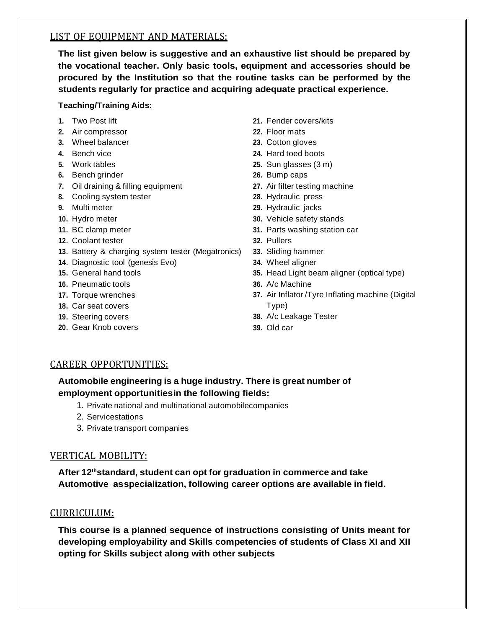#### LIST OF EQUIPMENT AND MATERIALS:

**The list given below is suggestive and an exhaustive list should be prepared by the vocational teacher. Only basic tools, equipment and accessories should be procured by the Institution so that the routine tasks can be performed by the students regularly for practice and acquiring adequate practical experience.**

#### **Teaching/Training Aids:**

- **1.** Two Post lift
- **2.** Air compressor
- **3.** Wheel balancer
- **4.** Bench vice
- **5.** Work tables
- **6.** Bench grinder
- **7.** Oil draining & filling equipment
- **8.** Cooling system tester
- **9.** Multi meter
- **10.** Hydro meter
- **11.** BC clamp meter
- **12.** Coolant tester
- **13.** Battery & charging system tester (Megatronics)
- **14.** Diagnostic tool (genesis Evo)
- **15.** General hand tools
- **16.** Pneumatic tools
- **17.** Torque wrenches
- **18.** Car seat covers
- **19.** Steering covers
- **20.** Gear Knob covers
- **21.** Fender covers/kits
- **22.** Floor mats
- **23.** Cotton gloves
- **24.** Hard toed boots
- **25.** Sun glasses (3 m)
- **26.** Bump caps
- **27.** Air filter testing machine
- **28.** Hydraulic press
- **29.** Hydraulic jacks
- **30.** Vehicle safety stands
- **31.** Parts washing station car
- **32.** Pullers
- **33.** Sliding hammer
- **34.** Wheel aligner
- **35.** Head Light beam aligner (optical type)
- **36.** A/c Machine
- **37.** Air Inflator /Tyre Inflating machine (Digital Type)
- **38.** A/c Leakage Tester
- **39.** Old car

#### CAREER OPPORTUNITIES:

#### **Automobile engineering is a huge industry. There is great number of employment opportunitiesin the following fields:**

- 1. Private national and multinational automobilecompanies
- 2. Servicestations
- 3. Private transport companies

#### VERTICAL MOBILITY:

**After 12thstandard, student can opt for graduation in commerce and take Automotive asspecialization, following career options are available in field.**

#### CURRICULUM:

**This course is a planned sequence of instructions consisting of Units meant for developing employability and Skills competencies of students of Class XI and XII opting for Skills subject along with other subjects**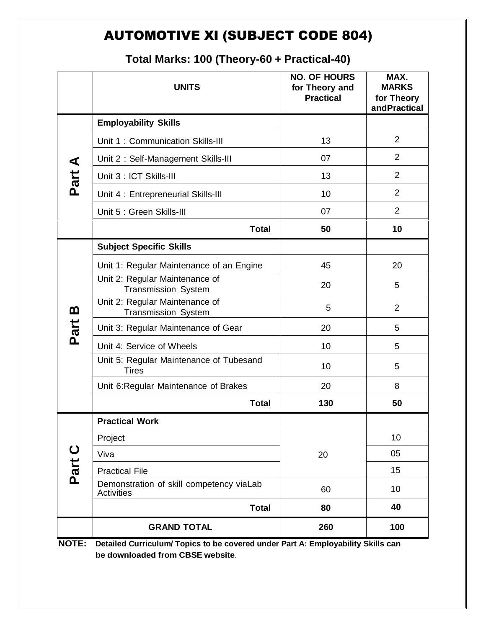### AUTOMOTIVE XI (SUBJECT CODE 804)

|                  | <b>UNITS</b>                                                  | <b>NO. OF HOURS</b><br>for Theory and<br><b>Practical</b> | MAX.<br><b>MARKS</b><br>for Theory<br>andPractical |
|------------------|---------------------------------------------------------------|-----------------------------------------------------------|----------------------------------------------------|
|                  | <b>Employability Skills</b>                                   |                                                           |                                                    |
|                  | Unit 1: Communication Skills-III                              | 13                                                        | $\overline{2}$                                     |
|                  | Unit 2: Self-Management Skills-III                            | 07                                                        | $\overline{2}$                                     |
| Part A           | Unit 3 : ICT Skills-III                                       | 13                                                        | $\overline{2}$                                     |
|                  | Unit 4 : Entrepreneurial Skills-III                           | 10                                                        | 2                                                  |
|                  | Unit 5 : Green Skills-III                                     | 07                                                        | $\overline{2}$                                     |
|                  | <b>Total</b>                                                  | 50                                                        | 10                                                 |
|                  | <b>Subject Specific Skills</b>                                |                                                           |                                                    |
|                  | Unit 1: Regular Maintenance of an Engine                      | 45                                                        | 20                                                 |
| <u>ന</u><br>Part | Unit 2: Regular Maintenance of<br><b>Transmission System</b>  | 20                                                        | 5                                                  |
|                  | Unit 2: Regular Maintenance of<br><b>Transmission System</b>  | 5                                                         | $\overline{2}$                                     |
|                  | Unit 3: Regular Maintenance of Gear                           | 20                                                        | 5                                                  |
|                  | Unit 4: Service of Wheels                                     | 10                                                        | 5                                                  |
|                  | Unit 5: Regular Maintenance of Tubesand<br><b>Tires</b>       | 10                                                        | 5                                                  |
|                  | Unit 6: Regular Maintenance of Brakes                         | 20                                                        | 8                                                  |
|                  | <b>Total</b>                                                  | 130                                                       | 50                                                 |
| Part C           | <b>Practical Work</b>                                         |                                                           |                                                    |
|                  | Project                                                       |                                                           | 10                                                 |
|                  | Viva                                                          | 20                                                        | 05                                                 |
|                  | <b>Practical File</b>                                         |                                                           | 15                                                 |
|                  | Demonstration of skill competency viaLab<br><b>Activities</b> | 60                                                        | 10                                                 |
|                  | <b>Total</b>                                                  | 80                                                        | 40                                                 |
|                  | <b>GRAND TOTAL</b>                                            | 260                                                       | 100                                                |

### **Total Marks: 100 (Theory-60 + Practical-40)**

**NOTE: Detailed Curriculum/ Topics to be covered under Part A: Employability Skills can be downloaded from CBSE website**.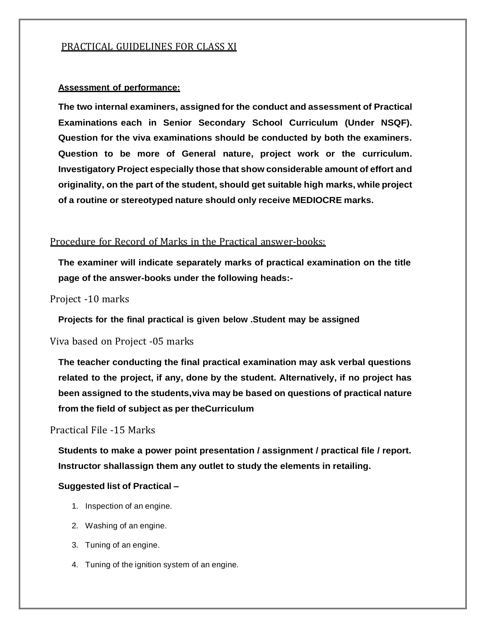#### PRACTICAL GUIDELINES FOR CLASS XI

#### **Assessment of performance:**

**The two internal examiners, assigned for the conduct and assessment of Practical Examinations each in Senior Secondary School Curriculum (Under NSQF). Question for the viva examinations should be conducted by both the examiners. Question to be more of General nature, project work or the curriculum. Investigatory Project especially those that show considerable amount of effort and originality, on the part of the student, should get suitable high marks, while project of a routine or stereotyped nature should only receive MEDIOCRE marks.**

#### Procedure for Record of Marks in the Practical answer-books:

**The examiner will indicate separately marks of practical examination on the title page of the answer-books under the following heads:-**

Project -10 marks

**Projects for the final practical is given below .Student may be assigned**

Viva based on Project -05 marks

**The teacher conducting the final practical examination may ask verbal questions related to the project, if any, done by the student. Alternatively, if no project has been assigned to the students,viva may be based on questions of practical nature from the field of subject as per theCurriculum**

Practical File -15 Marks

**Students to make a power point presentation / assignment / practical file / report. Instructor shallassign them any outlet to study the elements in retailing.**

#### **Suggested list of Practical –**

- 1. Inspection of an engine.
- 2. Washing of an engine.
- 3. Tuning of an engine.
- 4. Tuning of the ignition system of an engine.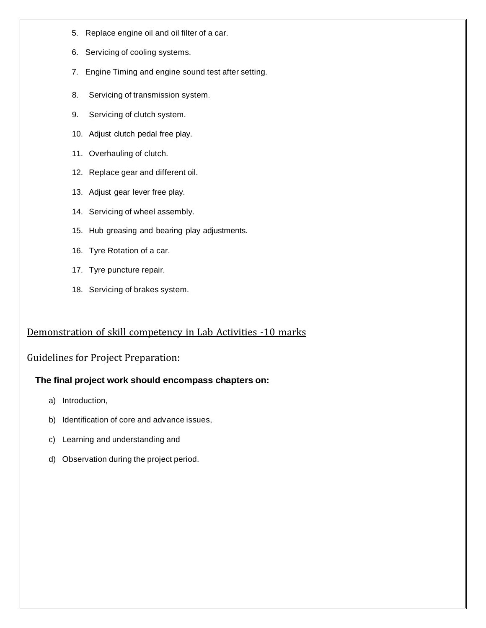- 5. Replace engine oil and oil filter of a car.
- 6. Servicing of cooling systems.
- 7. Engine Timing and engine sound test after setting.
- 8. Servicing of transmission system.
- 9. Servicing of clutch system.
- 10. Adjust clutch pedal free play.
- 11. Overhauling of clutch.
- 12. Replace gear and different oil.
- 13. Adjust gear lever free play.
- 14. Servicing of wheel assembly.
- 15. Hub greasing and bearing play adjustments.
- 16. Tyre Rotation of a car.
- 17. Tyre puncture repair.
- 18. Servicing of brakes system.

### Demonstration of skill competency in Lab Activities -10 marks

#### Guidelines for Project Preparation:

#### **The final project work should encompass chapters on:**

- a) Introduction,
- b) Identification of core and advance issues,
- c) Learning and understanding and
- d) Observation during the project period.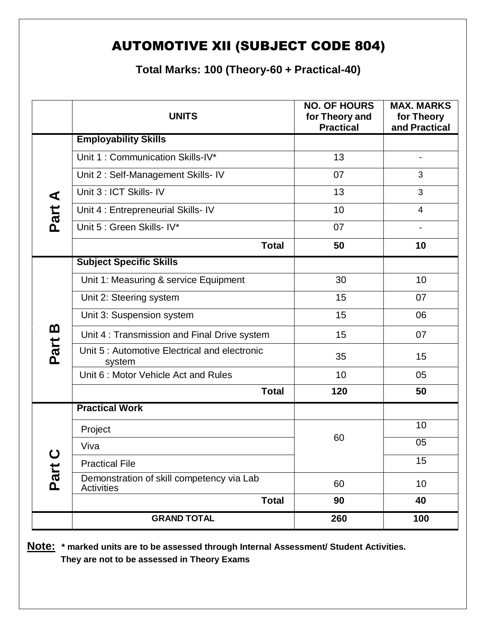### AUTOMOTIVE XII (SUBJECT CODE 804)

**Total Marks: 100 (Theory-60 + Practical-40)**

|                     | <b>UNITS</b>                                                   | <b>NO. OF HOURS</b><br>for Theory and<br><b>Practical</b> | <b>MAX. MARKS</b><br>for Theory<br>and Practical |
|---------------------|----------------------------------------------------------------|-----------------------------------------------------------|--------------------------------------------------|
|                     | <b>Employability Skills</b>                                    |                                                           |                                                  |
|                     | Unit 1: Communication Skills-IV*                               | 13                                                        |                                                  |
|                     | Unit 2: Self-Management Skills- IV                             | 07                                                        | 3                                                |
| ⋖                   | Unit 3 : ICT Skills- IV                                        | 13                                                        | 3                                                |
| Part.               | Unit 4 : Entrepreneurial Skills- IV                            | 10                                                        | $\overline{4}$                                   |
|                     | Unit 5 : Green Skills- IV*                                     | 07                                                        |                                                  |
|                     | <b>Total</b>                                                   | 50                                                        | 10                                               |
|                     | <b>Subject Specific Skills</b>                                 |                                                           |                                                  |
|                     | Unit 1: Measuring & service Equipment                          | 30                                                        | 10                                               |
|                     | Unit 2: Steering system                                        | 15                                                        | 07                                               |
|                     | Unit 3: Suspension system                                      | 15                                                        | 06                                               |
| <u>ന</u><br>Part    | Unit 4: Transmission and Final Drive system                    | 15                                                        | 07                                               |
|                     | Unit 5: Automotive Electrical and electronic<br>system         | 35                                                        | 15                                               |
|                     | Unit 6: Motor Vehicle Act and Rules                            | 10                                                        | 05                                               |
|                     | <b>Total</b>                                                   | 120                                                       | 50                                               |
|                     | <b>Practical Work</b>                                          |                                                           |                                                  |
|                     | Project                                                        | 60                                                        | 10                                               |
| $\mathbf C$<br>Part | Viva                                                           |                                                           | 05                                               |
|                     | <b>Practical File</b>                                          |                                                           | 15                                               |
|                     | Demonstration of skill competency via Lab<br><b>Activities</b> | 60                                                        | 10                                               |
|                     | <b>Total</b>                                                   | 90                                                        | 40                                               |
|                     | <b>GRAND TOTAL</b>                                             | 260                                                       | 100                                              |

**Note: \* marked units are to be assessed through Internal Assessment/ Student Activities. They are not to be assessed in Theory Exams**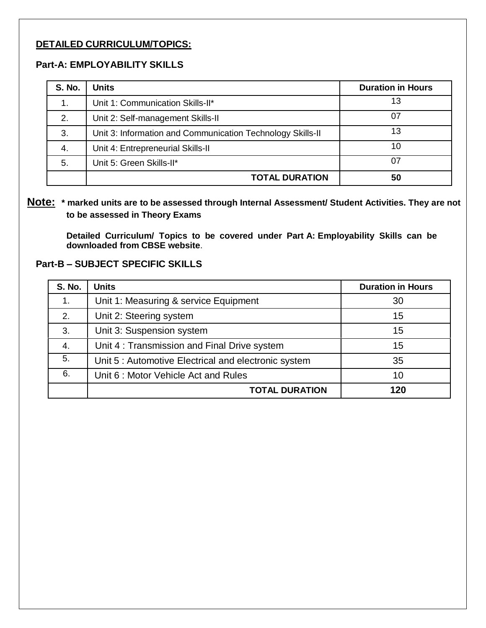#### **DETAILED CURRICULUM/TOPICS:**

#### **Part-A: EMPLOYABILITY SKILLS**

| <b>S. No.</b> | <b>Units</b>                                               | <b>Duration in Hours</b> |
|---------------|------------------------------------------------------------|--------------------------|
|               | Unit 1: Communication Skills-II*                           | 13                       |
| 2.            | Unit 2: Self-management Skills-II                          | 07                       |
| 3.            | Unit 3: Information and Communication Technology Skills-II | 13                       |
| 4.            | Unit 4: Entrepreneurial Skills-II                          | 10                       |
| 5.            | Unit 5: Green Skills-II*                                   | 07                       |
|               | <b>TOTAL DURATION</b>                                      | 50                       |

#### **Note: \* marked units are to be assessed through Internal Assessment/ Student Activities. They are not to be assessed in Theory Exams**

**Detailed Curriculum/ Topics to be covered under Part A: Employability Skills can be downloaded from CBSE website**.

#### **Part-B – SUBJECT SPECIFIC SKILLS**

| <b>S. No.</b> | <b>Units</b>                                         | <b>Duration in Hours</b> |
|---------------|------------------------------------------------------|--------------------------|
| 1.            | Unit 1: Measuring & service Equipment                | 30                       |
| 2.            | Unit 2: Steering system                              | 15                       |
| 3.            | Unit 3: Suspension system                            | 15                       |
| 4.            | Unit 4: Transmission and Final Drive system          | 15                       |
| 5.            | Unit 5 : Automotive Electrical and electronic system | 35                       |
| 6.            | Unit 6: Motor Vehicle Act and Rules                  | 10                       |
|               | <b>TOTAL DURATION</b>                                | 120                      |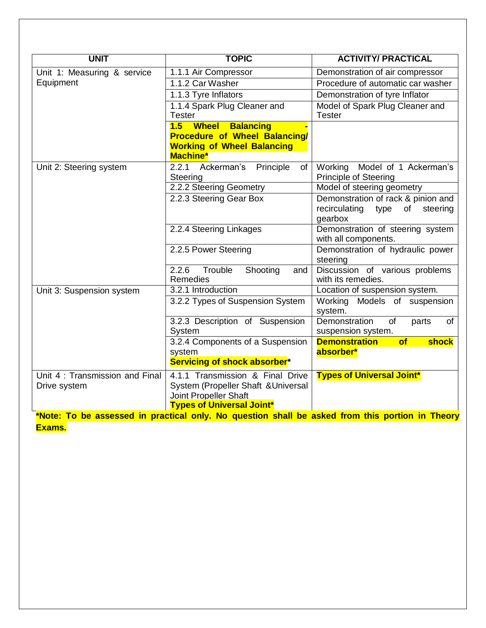| <b>UNIT</b>                                    | <b>TOPIC</b>                                                                                                                         | <b>ACTIVITY/ PRACTICAL</b>                                                            |  |
|------------------------------------------------|--------------------------------------------------------------------------------------------------------------------------------------|---------------------------------------------------------------------------------------|--|
| Unit 1: Measuring & service                    | 1.1.1 Air Compressor                                                                                                                 | Demonstration of air compressor                                                       |  |
| Equipment                                      | 1.1.2 Car Washer                                                                                                                     | Procedure of automatic car washer                                                     |  |
|                                                | 1.1.3 Tyre Inflators                                                                                                                 | Demonstration of tyre Inflator                                                        |  |
|                                                | 1.1.4 Spark Plug Cleaner and<br>Tester                                                                                               | Model of Spark Plug Cleaner and<br><b>Tester</b>                                      |  |
|                                                | 1.5 Wheel Balancing<br><b>Procedure of Wheel Balancing/</b><br><b>Working of Wheel Balancing</b><br><b>Machine*</b>                  |                                                                                       |  |
| Unit 2: Steering system                        | 2.2.1 Ackerman's Principle<br>of<br>Steering                                                                                         | Working Model of 1 Ackerman's<br><b>Principle of Steering</b>                         |  |
|                                                | 2.2.2 Steering Geometry                                                                                                              | Model of steering geometry                                                            |  |
|                                                | 2.2.3 Steering Gear Box                                                                                                              | Demonstration of rack & pinion and<br>recirculating<br>type<br>of steering<br>gearbox |  |
|                                                | 2.2.4 Steering Linkages                                                                                                              | Demonstration of steering system<br>with all components.                              |  |
|                                                | 2.2.5 Power Steering                                                                                                                 | Demonstration of hydraulic power<br>steering                                          |  |
|                                                | 2.2.6<br>Trouble<br>Shooting<br>and<br>Remedies                                                                                      | Discussion of various problems<br>with its remedies.                                  |  |
| Unit 3: Suspension system                      | 3.2.1 Introduction                                                                                                                   | Location of suspension system.                                                        |  |
|                                                | 3.2.2 Types of Suspension System                                                                                                     | Working Models of suspension<br>system.                                               |  |
|                                                | 3.2.3 Description of Suspension<br>System                                                                                            | Demonstration<br>of<br>parts<br>of<br>suspension system.                              |  |
|                                                | 3.2.4 Components of a Suspension<br>system                                                                                           | <b>Demonstration</b><br>of<br>shock<br>absorber*                                      |  |
|                                                | Servicing of shock absorber*                                                                                                         |                                                                                       |  |
| Unit 4: Transmission and Final<br>Drive system | 4.1.1 Transmission & Final Drive<br>System (Propeller Shaft & Universal<br>Joint Propeller Shaft<br><b>Types of Universal Joint*</b> | <b>Types of Universal Joint*</b>                                                      |  |
|                                                | *Note: To be assessed in practical only. No question shall be asked from this portion in Theory                                      |                                                                                       |  |
| Exams.                                         |                                                                                                                                      |                                                                                       |  |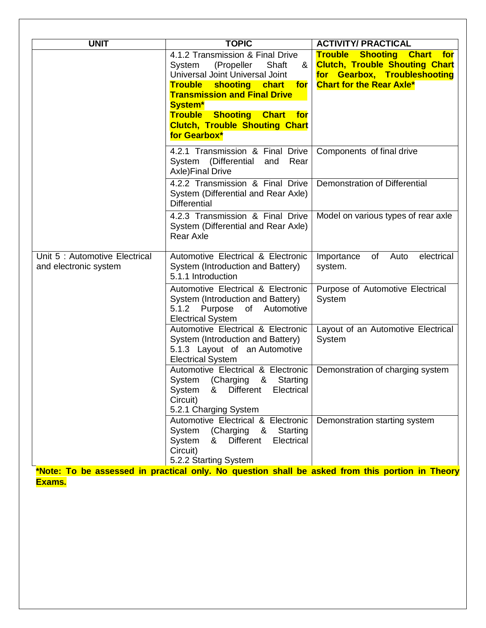| 4.1.2 Transmission & Final Drive<br>(Propeller<br>Shaft<br>System<br>&<br>Universal Joint Universal Joint<br><b>Trouble</b><br>shooting chart<br>for<br><b>Transmission and Final Drive</b><br>System*<br><b>Trouble Shooting</b><br><b>Chart</b> for<br><b>Clutch, Trouble Shouting Chart</b><br>for Gearbox* | <b>Trouble Shooting Chart for</b><br><b>Clutch, Trouble Shouting Chart</b><br>for Gearbox, Troubleshooting<br><b>Chart for the Rear Axle*</b> |
|----------------------------------------------------------------------------------------------------------------------------------------------------------------------------------------------------------------------------------------------------------------------------------------------------------------|-----------------------------------------------------------------------------------------------------------------------------------------------|
|                                                                                                                                                                                                                                                                                                                |                                                                                                                                               |
|                                                                                                                                                                                                                                                                                                                |                                                                                                                                               |
| 4.2.1 Transmission & Final Drive<br>(Differential<br>System<br>and<br>Rear<br><b>Axle)Final Drive</b>                                                                                                                                                                                                          | Components of final drive                                                                                                                     |
| 4.2.2 Transmission & Final Drive<br>System (Differential and Rear Axle)<br><b>Differential</b>                                                                                                                                                                                                                 | <b>Demonstration of Differential</b>                                                                                                          |
| 4.2.3 Transmission & Final Drive<br>System (Differential and Rear Axle)<br><b>Rear Axle</b>                                                                                                                                                                                                                    | Model on various types of rear axle                                                                                                           |
| Automotive Electrical & Electronic<br>System (Introduction and Battery)<br>5.1.1 Introduction                                                                                                                                                                                                                  | electrical<br>of<br>Auto<br>Importance<br>system.                                                                                             |
| Automotive Electrical & Electronic<br>System (Introduction and Battery)<br>5.1.2 Purpose<br>of<br>Automotive<br><b>Electrical System</b>                                                                                                                                                                       | Purpose of Automotive Electrical<br>System                                                                                                    |
| Automotive Electrical & Electronic<br>System (Introduction and Battery)<br>5.1.3 Layout of an Automotive<br><b>Electrical System</b>                                                                                                                                                                           | Layout of an Automotive Electrical<br>System                                                                                                  |
| Automotive Electrical & Electronic<br>System (Charging & Starting<br>Different<br>System<br>Electrical<br>8<br>Circuit)<br>5.2.1 Charging System                                                                                                                                                               | Demonstration of charging system                                                                                                              |
| Automotive Electrical & Electronic<br>System (Charging &<br>Starting<br><b>Different</b><br>System &<br>Electrical<br>Circuit)<br>5.2.2 Starting System                                                                                                                                                        | Demonstration starting system                                                                                                                 |
|                                                                                                                                                                                                                                                                                                                | *Note: To be assessed in practical only. No question shall be asked from this portion in Theory                                               |